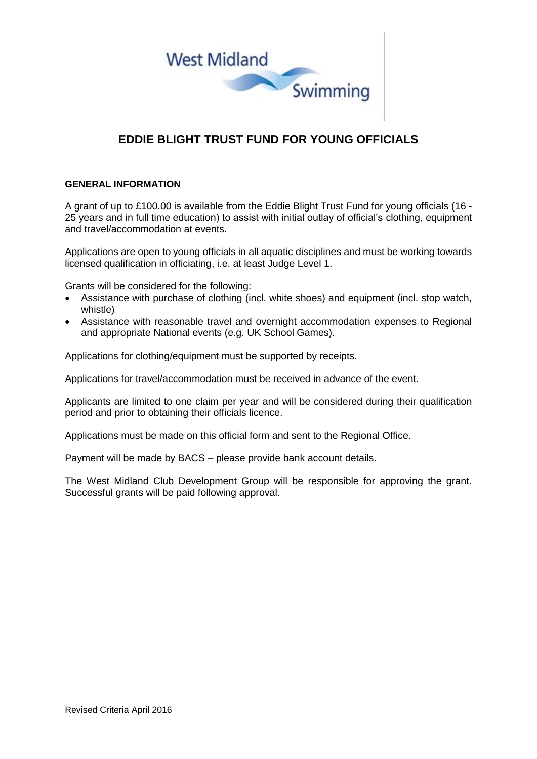

## **EDDIE BLIGHT TRUST FUND FOR YOUNG OFFICIALS**

## **GENERAL INFORMATION**

A grant of up to £100.00 is available from the Eddie Blight Trust Fund for young officials (16 - 25 years and in full time education) to assist with initial outlay of official's clothing, equipment and travel/accommodation at events.

Applications are open to young officials in all aquatic disciplines and must be working towards licensed qualification in officiating, i.e. at least Judge Level 1.

Grants will be considered for the following:

- Assistance with purchase of clothing (incl. white shoes) and equipment (incl. stop watch, whistle)
- Assistance with reasonable travel and overnight accommodation expenses to Regional and appropriate National events (e.g. UK School Games).

Applications for clothing/equipment must be supported by receipts.

Applications for travel/accommodation must be received in advance of the event.

Applicants are limited to one claim per year and will be considered during their qualification period and prior to obtaining their officials licence.

Applications must be made on this official form and sent to the Regional Office.

Payment will be made by BACS – please provide bank account details.

The West Midland Club Development Group will be responsible for approving the grant. Successful grants will be paid following approval.